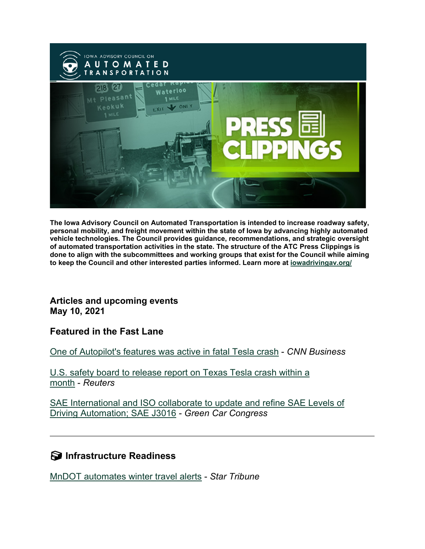

**The Iowa Advisory Council on Automated Transportation is intended to increase roadway safety, personal mobility, and freight movement within the state of Iowa by advancing highly automated vehicle technologies. The Council provides guidance, recommendations, and strategic oversight of automated transportation activities in the state. The structure of the ATC Press Clippings is done to align with the subcommittees and working groups that exist for the Council while aiming to keep the Council and other interested parties informed. Learn more at [iowadrivingav.org/](https://iowadrivingav.org/?utm_medium=email&utm_source=govdelivery)**

**Articles and upcoming events May 10, 2021**

**Featured in the Fast Lane**

[One of Autopilot's features was active in fatal Tesla crash](https://us.cnn.com/2021/04/28/cars/tesla-texas-crash-autopilot/index.html?utm_medium=email&utm_source=govdelivery) - *CNN Business*

[U.S. safety board to release report on Texas Tesla crash within a](https://www.reuters.com/business/autos-transportation/amid-confusion-ntsb-release-report-texas-tesla-crash-soon-possible-2021-04-28/?utm_medium=email&utm_source=govdelivery)  [month](https://www.reuters.com/business/autos-transportation/amid-confusion-ntsb-release-report-texas-tesla-crash-soon-possible-2021-04-28/?utm_medium=email&utm_source=govdelivery) - *Reuters*

[SAE International and ISO collaborate to update and refine SAE Levels of](https://www.greencarcongress.com/2021/05/20210504-j3016.html?utm_medium=email&utm_source=govdelivery)  [Driving Automation; SAE J3016](https://www.greencarcongress.com/2021/05/20210504-j3016.html?utm_medium=email&utm_source=govdelivery) *- Green Car Congress*

**S** Infrastructure Readiness

[MnDOT automates winter travel alerts](https://www.startribune.com/mndot-automates-winter-travel-alerts/600052806/?utm_medium=email&utm_source=govdelivery) - *Star Tribune*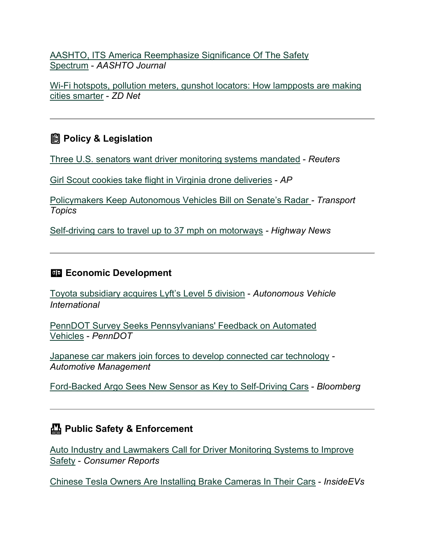[AASHTO, ITS America Reemphasize Significance Of The Safety](https://aashtojournal.org/2021/04/30/aashto-its-america-reemphasize-significance-of-the-safety-spectrum/?utm_medium=email&utm_source=govdelivery)  [Spectrum](https://aashtojournal.org/2021/04/30/aashto-its-america-reemphasize-significance-of-the-safety-spectrum/?utm_medium=email&utm_source=govdelivery) - *AASHTO Journal*

[Wi-Fi hotspots, pollution meters, gunshot locators: How lampposts are making](https://www.zdnet.com/article/wi-fi-hotspots-pollution-meters-gunshot-locators-how-lampposts-are-making-cities-smarter/?utm_medium=email&utm_source=govdelivery)  [cities smarter](https://www.zdnet.com/article/wi-fi-hotspots-pollution-meters-gunshot-locators-how-lampposts-are-making-cities-smarter/?utm_medium=email&utm_source=govdelivery) - *ZD Net*

## **Policy & Legislation**

[Three U.S. senators want driver monitoring systems mandated](https://www.reuters.com/business/autos-transportation/3-us-senators-want-driver-monitoring-systems-mandated-2021-04-26/?utm_medium=email&utm_source=govdelivery) - *Reuters*

[Girl Scout cookies take flight in Virginia drone deliveries](https://apnews.com/article/health-technology-lifestyle-business-coronavirus-fdb288e4c4dc285b9eefae46ebe67201?utm_medium=email&utm_source=govdelivery) - *AP*

[Policymakers Keep Autonomous Vehicles Bill on Senate's Radar](https://www.ttnews.com/articles/policymakers-keep-autonomous-vehicles-bill-senates-radar?utm_medium=email&utm_source=govdelivery) *- Transport Topics*

[Self-driving cars to travel up to 37 mph on motorways](https://highways-news.com/self-driving-cars-to-travel-up-to-37-mph-on-motorways/?utm_medium=email&utm_source=govdelivery) *- Highway News*

#### **ED Economic Development**

[Toyota subsidiary acquires Lyft's Level 5 division](https://www.autonomousvehicleinternational.com/news/adas/toyota-subsidiary-acquires-lyfts-level-5-division.html?utm_medium=email&utm_source=govdelivery) - *Autonomous Vehicle International*

[PennDOT Survey Seeks Pennsylvanians' Feedback on Automated](https://www.penndot.gov/pages/all-news-details.aspx?newsid=838&utm_medium=email&utm_source=govdelivery)  [Vehicles](https://www.penndot.gov/pages/all-news-details.aspx?newsid=838&utm_medium=email&utm_source=govdelivery) - *PennDOT*

[Japanese car makers join forces to develop connected car technology](https://www.am-online.com/news/car-manufacturer-news/2021/04/28/japanese-car-makers-join-forces-to-develop-connected-car-technology?utm_medium=email&utm_source=govdelivery) *- Automotive Management*

[Ford-Backed Argo Sees New Sensor as Key to Self-Driving Cars](https://www.bloomberg.com/news/articles/2021-05-04/ford-backed-argo-sees-new-sensor-as-key-for-self-driving-cars?utm_medium=email&utm_source=govdelivery) - *Bloomberg*

### **Public Safety & Enforcement**

[Auto Industry and Lawmakers Call for Driver Monitoring Systems to Improve](https://www.consumerreports.org/car-safety/call-for-driver-monitoring-to-improve-car-safety/?utm_medium=email&utm_source=govdelivery)  [Safety](https://www.consumerreports.org/car-safety/call-for-driver-monitoring-to-improve-car-safety/?utm_medium=email&utm_source=govdelivery) - *Consumer Reports*

[Chinese Tesla Owners Are Installing Brake Cameras In Their Cars](https://insideevs.com/news/504434/chinese-tesla-owners-filming-brakes/?utm_medium=email&utm_source=govdelivery) - *InsideEVs*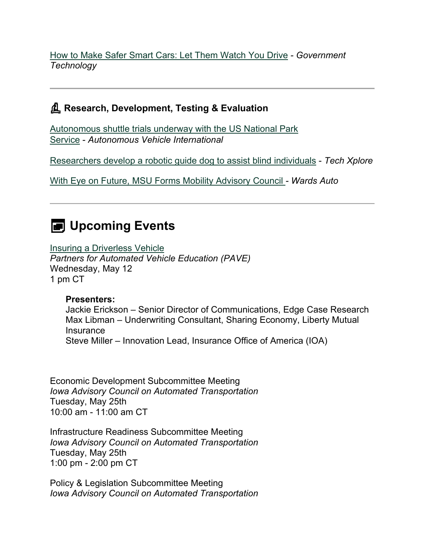[How to Make Safer Smart Cars: Let Them Watch You Drive](https://www.govtech.com/transportation/how-to-make-safer-smart-cars?utm_medium=email&utm_source=govdelivery) *- Government Technology*

#### **Research, Development, Testing & Evaluation**

[Autonomous shuttle trials underway with the US National](https://www.autonomousvehicleinternational.com/news/autonomous-shuttle-trials-underway-with-the-us-national-park-service.html?utm_medium=email&utm_source=govdelivery) Park [Service](https://www.autonomousvehicleinternational.com/news/autonomous-shuttle-trials-underway-with-the-us-national-park-service.html?utm_medium=email&utm_source=govdelivery) - *Autonomous Vehicle International*

[Researchers develop a robotic guide dog to assist blind individuals](https://techxplore.com/news/2021-04-robotic-dog-individuals.html?utm_medium=email&utm_source=govdelivery) - *Tech Xplore*

[With Eye on Future, MSU Forms Mobility Advisory Council](https://www.wardsauto.com/industry-news/eye-future-msu-forms-mobility-advisory-council?utm_medium=email&utm_source=govdelivery) *- Wards Auto*

# **E** Upcoming Events

[Insuring a Driverless Vehicle](https://pavecampaign.org/event/pave-virtual-panel-insuring-a-driverless-vehicle/?utm_medium=email&utm_source=govdelivery)

*Partners for Automated Vehicle Education (PAVE)* Wednesday, May 12 1 pm CT

#### **Presenters:**

Jackie Erickson – Senior Director of Communications, Edge Case Research Max Libman – Underwriting Consultant, Sharing Economy, Liberty Mutual **Insurance** Steve Miller – Innovation Lead, Insurance Office of America (IOA)

Economic Development Subcommittee Meeting *Iowa Advisory Council on Automated Transportation* Tuesday, May 25th 10:00 am - 11:00 am CT

Infrastructure Readiness Subcommittee Meeting *Iowa Advisory Council on Automated Transportation* Tuesday, May 25th 1:00 pm - 2:00 pm CT

Policy & Legislation Subcommittee Meeting *Iowa Advisory Council on Automated Transportation*